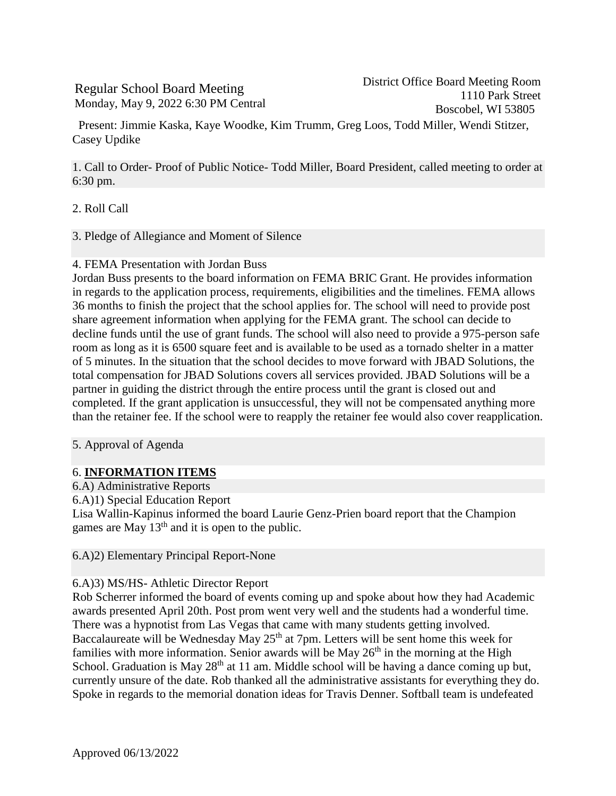# Regular School Board Meeting Monday, May 9, 2022 6:30 PM Central

Present: Jimmie Kaska, Kaye Woodke, Kim Trumm, Greg Loos, Todd Miller, Wendi Stitzer, Casey Updike

1. Call to Order- Proof of Public Notice- Todd Miller, Board President, called meeting to order at 6:30 pm.

- 2. Roll Call
- 3. Pledge of Allegiance and Moment of Silence

## 4. FEMA Presentation with Jordan Buss

Jordan Buss presents to the board information on FEMA BRIC Grant. He provides information in regards to the application process, requirements, eligibilities and the timelines. FEMA allows 36 months to finish the project that the school applies for. The school will need to provide post share agreement information when applying for the FEMA grant. The school can decide to decline funds until the use of grant funds. The school will also need to provide a 975-person safe room as long as it is 6500 square feet and is available to be used as a tornado shelter in a matter of 5 minutes. In the situation that the school decides to move forward with JBAD Solutions, the total compensation for JBAD Solutions covers all services provided. JBAD Solutions will be a partner in guiding the district through the entire process until the grant is closed out and completed. If the grant application is unsuccessful, they will not be compensated anything more than the retainer fee. If the school were to reapply the retainer fee would also cover reapplication.

5. Approval of Agenda

## 6. **INFORMATION ITEMS**

6.A) Administrative Reports

6.A)1) Special Education Report

Lisa Wallin-Kapinus informed the board Laurie Genz-Prien board report that the Champion games are May 13<sup>th</sup> and it is open to the public.

6.A)2) Elementary Principal Report-None

## 6.A)3) MS/HS- Athletic Director Report

Rob Scherrer informed the board of events coming up and spoke about how they had Academic awards presented April 20th. Post prom went very well and the students had a wonderful time. There was a hypnotist from Las Vegas that came with many students getting involved. Baccalaureate will be Wednesday May  $25<sup>th</sup>$  at 7pm. Letters will be sent home this week for families with more information. Senior awards will be May  $26<sup>th</sup>$  in the morning at the High School. Graduation is May 28<sup>th</sup> at 11 am. Middle school will be having a dance coming up but, currently unsure of the date. Rob thanked all the administrative assistants for everything they do. Spoke in regards to the memorial donation ideas for Travis Denner. Softball team is undefeated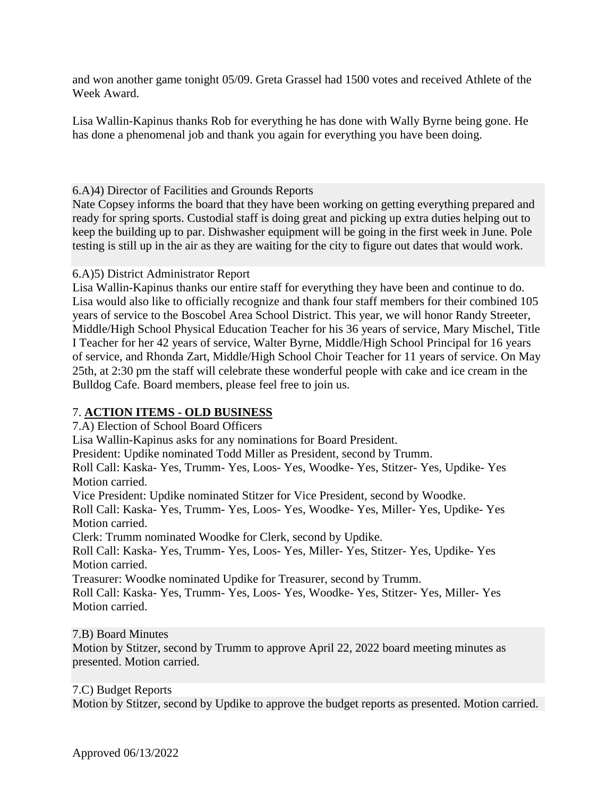and won another game tonight 05/09. Greta Grassel had 1500 votes and received Athlete of the Week Award.

Lisa Wallin-Kapinus thanks Rob for everything he has done with Wally Byrne being gone. He has done a phenomenal job and thank you again for everything you have been doing.

# 6.A)4) Director of Facilities and Grounds Reports

Nate Copsey informs the board that they have been working on getting everything prepared and ready for spring sports. Custodial staff is doing great and picking up extra duties helping out to keep the building up to par. Dishwasher equipment will be going in the first week in June. Pole testing is still up in the air as they are waiting for the city to figure out dates that would work.

# 6.A)5) District Administrator Report

Lisa Wallin-Kapinus thanks our entire staff for everything they have been and continue to do. Lisa would also like to officially recognize and thank four staff members for their combined 105 years of service to the Boscobel Area School District. This year, we will honor Randy Streeter, Middle/High School Physical Education Teacher for his 36 years of service, Mary Mischel, Title I Teacher for her 42 years of service, Walter Byrne, Middle/High School Principal for 16 years of service, and Rhonda Zart, Middle/High School Choir Teacher for 11 years of service. On May 25th, at 2:30 pm the staff will celebrate these wonderful people with cake and ice cream in the Bulldog Cafe. Board members, please feel free to join us.

# 7. **ACTION ITEMS - OLD BUSINESS**

7.A) Election of School Board Officers

Lisa Wallin-Kapinus asks for any nominations for Board President.

President: Updike nominated Todd Miller as President, second by Trumm.

Roll Call: Kaska- Yes, Trumm- Yes, Loos- Yes, Woodke- Yes, Stitzer- Yes, Updike- Yes Motion carried.

Vice President: Updike nominated Stitzer for Vice President, second by Woodke.

Roll Call: Kaska- Yes, Trumm- Yes, Loos- Yes, Woodke- Yes, Miller- Yes, Updike- Yes Motion carried.

Clerk: Trumm nominated Woodke for Clerk, second by Updike.

Roll Call: Kaska- Yes, Trumm- Yes, Loos- Yes, Miller- Yes, Stitzer- Yes, Updike- Yes Motion carried.

Treasurer: Woodke nominated Updike for Treasurer, second by Trumm.

Roll Call: Kaska- Yes, Trumm- Yes, Loos- Yes, Woodke- Yes, Stitzer- Yes, Miller- Yes Motion carried.

## 7.B) Board Minutes

Motion by Stitzer, second by Trumm to approve April 22, 2022 board meeting minutes as presented. Motion carried.

## 7.C) Budget Reports

Motion by Stitzer, second by Updike to approve the budget reports as presented. Motion carried.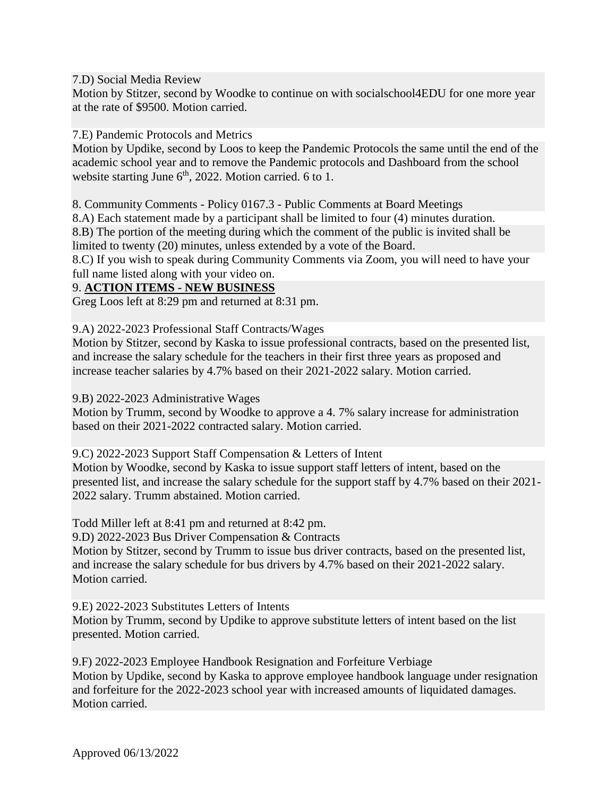7.D) Social Media Review

Motion by Stitzer, second by Woodke to continue on with socialschool4EDU for one more year at the rate of \$9500. Motion carried.

7.E) Pandemic Protocols and Metrics

Motion by Updike, second by Loos to keep the Pandemic Protocols the same until the end of the academic school year and to remove the Pandemic protocols and Dashboard from the school website starting June 6<sup>th</sup>, 2022. Motion carried. 6 to 1.

8. Community Comments - Policy 0167.3 - Public Comments at Board Meetings

8.A) Each statement made by a participant shall be limited to four (4) minutes duration.

8.B) The portion of the meeting during which the comment of the public is invited shall be limited to twenty (20) minutes, unless extended by a vote of the Board.

8.C) If you wish to speak during Community Comments via Zoom, you will need to have your full name listed along with your video on.

# 9. **ACTION ITEMS - NEW BUSINESS**

Greg Loos left at 8:29 pm and returned at 8:31 pm.

9.A) 2022-2023 Professional Staff Contracts/Wages

Motion by Stitzer, second by Kaska to issue professional contracts, based on the presented list, and increase the salary schedule for the teachers in their first three years as proposed and increase teacher salaries by 4.7% based on their 2021-2022 salary. Motion carried.

9.B) 2022-2023 Administrative Wages

Motion by Trumm, second by Woodke to approve a 4. 7% salary increase for administration based on their 2021-2022 contracted salary. Motion carried.

9.C) 2022-2023 Support Staff Compensation & Letters of Intent

Motion by Woodke, second by Kaska to issue support staff letters of intent, based on the presented list, and increase the salary schedule for the support staff by 4.7% based on their 2021- 2022 salary. Trumm abstained. Motion carried.

Todd Miller left at 8:41 pm and returned at 8:42 pm.

9.D) 2022-2023 Bus Driver Compensation & Contracts

Motion by Stitzer, second by Trumm to issue bus driver contracts, based on the presented list, and increase the salary schedule for bus drivers by 4.7% based on their 2021-2022 salary. Motion carried.

9.E) 2022-2023 Substitutes Letters of Intents

Motion by Trumm, second by Updike to approve substitute letters of intent based on the list presented. Motion carried.

9.F) 2022-2023 Employee Handbook Resignation and Forfeiture Verbiage Motion by Updike, second by Kaska to approve employee handbook language under resignation and forfeiture for the 2022-2023 school year with increased amounts of liquidated damages. Motion carried.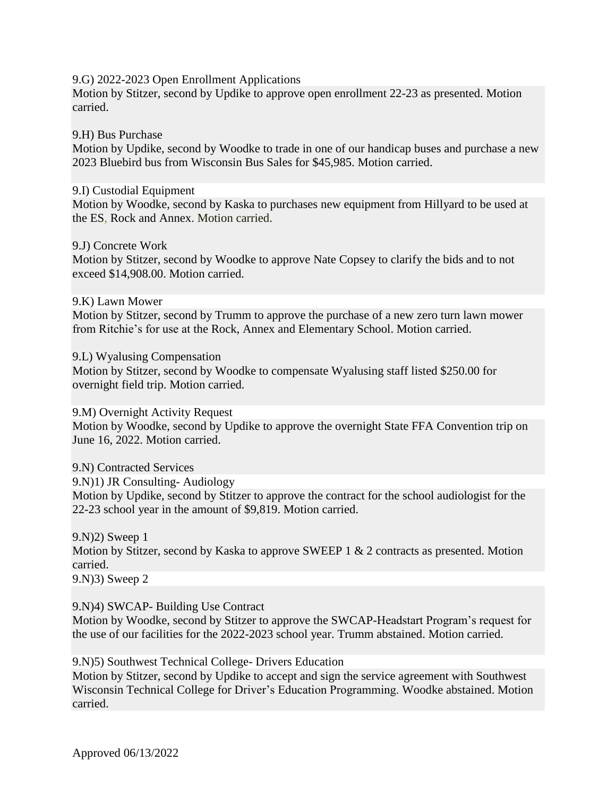#### 9.G) 2022-2023 Open Enrollment Applications

Motion by Stitzer, second by Updike to approve open enrollment 22-23 as presented. Motion carried.

### 9.H) Bus Purchase

Motion by Updike, second by Woodke to trade in one of our handicap buses and purchase a new 2023 Bluebird bus from Wisconsin Bus Sales for \$45,985. Motion carried.

#### 9.I) Custodial Equipment

Motion by Woodke, second by Kaska to purchases new equipment from Hillyard to be used at the ES, Rock and Annex. Motion carried.

#### 9.J) Concrete Work

Motion by Stitzer, second by Woodke to approve Nate Copsey to clarify the bids and to not exceed \$14,908.00. Motion carried.

### 9.K) Lawn Mower

Motion by Stitzer, second by Trumm to approve the purchase of a new zero turn lawn mower from Ritchie's for use at the Rock, Annex and Elementary School. Motion carried.

### 9.L) Wyalusing Compensation

Motion by Stitzer, second by Woodke to compensate Wyalusing staff listed \$250.00 for overnight field trip. Motion carried.

#### 9.M) Overnight Activity Request

Motion by Woodke, second by Updike to approve the overnight State FFA Convention trip on June 16, 2022. Motion carried.

9.N) Contracted Services 9.N)1) JR Consulting- Audiology Motion by Updike, second by Stitzer to approve the contract for the school audiologist for the 22-23 school year in the amount of \$9,819. Motion carried.

9.N)2) Sweep 1 Motion by Stitzer, second by Kaska to approve SWEEP 1 & 2 contracts as presented. Motion carried. 9.N)3) Sweep 2

## 9.N)4) SWCAP- Building Use Contract

Motion by Woodke, second by Stitzer to approve the SWCAP-Headstart Program's request for the use of our facilities for the 2022-2023 school year. Trumm abstained. Motion carried.

9.N)5) Southwest Technical College- Drivers Education

Motion by Stitzer, second by Updike to accept and sign the service agreement with Southwest Wisconsin Technical College for Driver's Education Programming. Woodke abstained. Motion carried.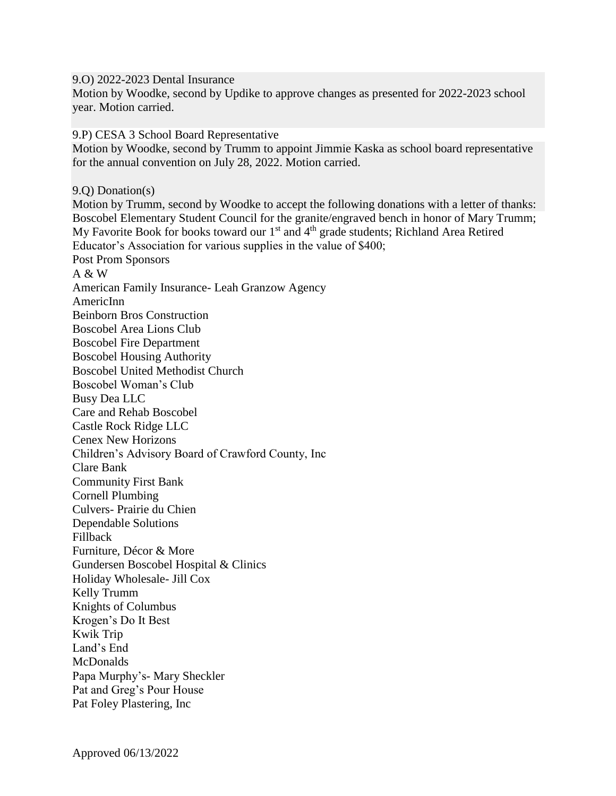9.O) 2022-2023 Dental Insurance

Motion by Woodke, second by Updike to approve changes as presented for 2022-2023 school year. Motion carried.

9.P) CESA 3 School Board Representative

Motion by Woodke, second by Trumm to appoint Jimmie Kaska as school board representative for the annual convention on July 28, 2022. Motion carried.

9.Q) Donation(s) Motion by Trumm, second by Woodke to accept the following donations with a letter of thanks: Boscobel Elementary Student Council for the granite/engraved bench in honor of Mary Trumm; My Favorite Book for books toward our  $1<sup>st</sup>$  and  $4<sup>th</sup>$  grade students; Richland Area Retired Educator's Association for various supplies in the value of \$400; Post Prom Sponsors A & W American Family Insurance- Leah Granzow Agency AmericInn Beinborn Bros Construction Boscobel Area Lions Club Boscobel Fire Department Boscobel Housing Authority Boscobel United Methodist Church Boscobel Woman's Club Busy Dea LLC Care and Rehab Boscobel Castle Rock Ridge LLC Cenex New Horizons Children's Advisory Board of Crawford County, Inc Clare Bank Community First Bank Cornell Plumbing Culvers- Prairie du Chien Dependable Solutions Fillback Furniture, Décor & More Gundersen Boscobel Hospital & Clinics Holiday Wholesale- Jill Cox Kelly Trumm Knights of Columbus Krogen's Do It Best Kwik Trip Land's End **McDonalds** Papa Murphy's- Mary Sheckler Pat and Greg's Pour House Pat Foley Plastering, Inc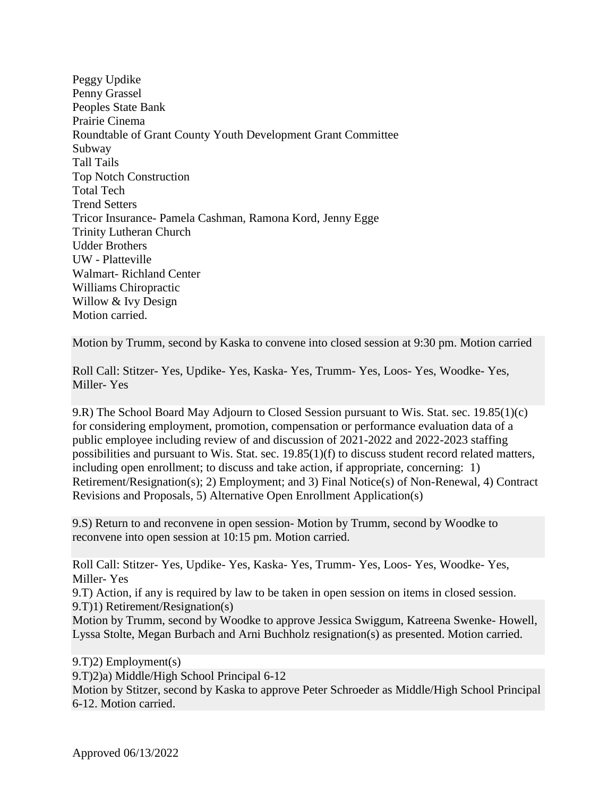Peggy Updike Penny Grassel Peoples State Bank Prairie Cinema Roundtable of Grant County Youth Development Grant Committee Subway Tall Tails Top Notch Construction Total Tech Trend Setters Tricor Insurance- Pamela Cashman, Ramona Kord, Jenny Egge Trinity Lutheran Church Udder Brothers UW - Platteville Walmart- Richland Center Williams Chiropractic Willow & Ivy Design Motion carried.

Motion by Trumm, second by Kaska to convene into closed session at 9:30 pm. Motion carried

Roll Call: Stitzer- Yes, Updike- Yes, Kaska- Yes, Trumm- Yes, Loos- Yes, Woodke- Yes, Miller- Yes

9.R) The School Board May Adjourn to Closed Session pursuant to Wis. Stat. sec. 19.85(1)(c) for considering employment, promotion, compensation or performance evaluation data of a public employee including review of and discussion of 2021-2022 and 2022-2023 staffing possibilities and pursuant to Wis. Stat. sec. 19.85(1)(f) to discuss student record related matters, including open enrollment; to discuss and take action, if appropriate, concerning: 1) Retirement/Resignation(s); 2) Employment; and 3) Final Notice(s) of Non-Renewal, 4) Contract Revisions and Proposals, 5) Alternative Open Enrollment Application(s)

9.S) Return to and reconvene in open session- Motion by Trumm, second by Woodke to reconvene into open session at 10:15 pm. Motion carried.

Roll Call: Stitzer- Yes, Updike- Yes, Kaska- Yes, Trumm- Yes, Loos- Yes, Woodke- Yes, Miller- Yes

9.T) Action, if any is required by law to be taken in open session on items in closed session. 9.T)1) Retirement/Resignation(s)

Motion by Trumm, second by Woodke to approve Jessica Swiggum, Katreena Swenke- Howell, Lyssa Stolte, Megan Burbach and Arni Buchholz resignation(s) as presented. Motion carried.

9.T)2) Employment(s) 9.T)2)a) Middle/High School Principal 6-12 Motion by Stitzer, second by Kaska to approve Peter Schroeder as Middle/High School Principal 6-12. Motion carried.